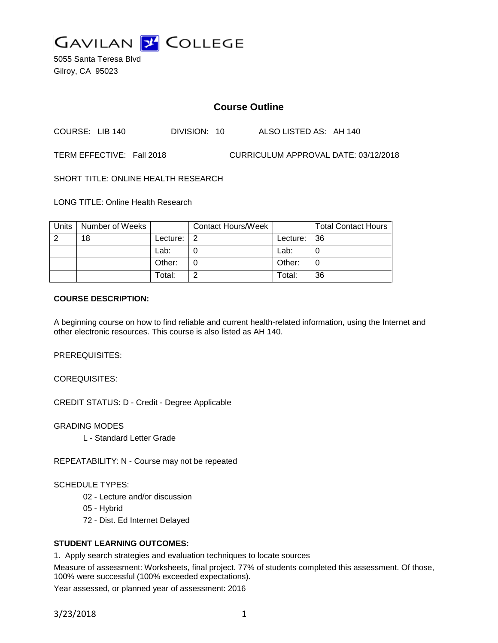

5055 Santa Teresa Blvd Gilroy, CA 95023

# **Course Outline**

COURSE: LIB 140 DIVISION: 10 ALSO LISTED AS: AH 140

TERM EFFECTIVE: Fall 2018 CURRICULUM APPROVAL DATE: 03/12/2018

SHORT TITLE: ONLINE HEALTH RESEARCH

LONG TITLE: Online Health Research

| Units | Number of Weeks |          | <b>Contact Hours/Week</b> |             | <b>Total Contact Hours</b> |
|-------|-----------------|----------|---------------------------|-------------|----------------------------|
|       | 18              | Lecture: | ົາ                        | Lecture: 36 |                            |
|       |                 | Lab:     |                           | Lab:        |                            |
|       |                 | Other:   |                           | Other:      |                            |
|       |                 | Total:   |                           | Total:      | 36                         |

#### **COURSE DESCRIPTION:**

A beginning course on how to find reliable and current health-related information, using the Internet and other electronic resources. This course is also listed as AH 140.

PREREQUISITES:

COREQUISITES:

CREDIT STATUS: D - Credit - Degree Applicable

GRADING MODES

L - Standard Letter Grade

REPEATABILITY: N - Course may not be repeated

SCHEDULE TYPES:

- 02 Lecture and/or discussion
- 05 Hybrid
- 72 Dist. Ed Internet Delayed

#### **STUDENT LEARNING OUTCOMES:**

1. Apply search strategies and evaluation techniques to locate sources

Measure of assessment: Worksheets, final project. 77% of students completed this assessment. Of those, 100% were successful (100% exceeded expectations).

Year assessed, or planned year of assessment: 2016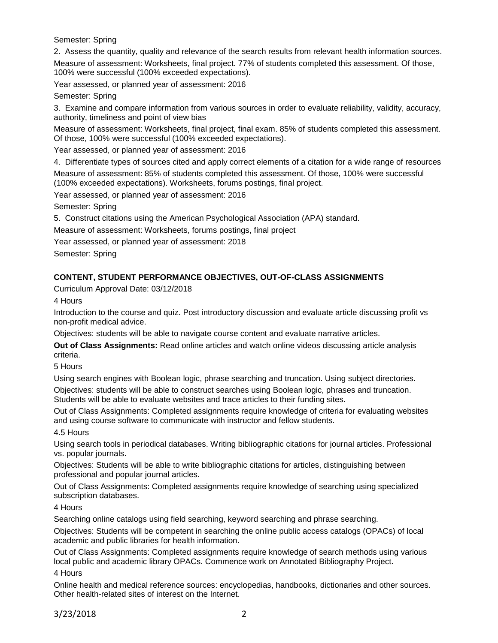Semester: Spring

2. Assess the quantity, quality and relevance of the search results from relevant health information sources.

Measure of assessment: Worksheets, final project. 77% of students completed this assessment. Of those, 100% were successful (100% exceeded expectations).

Year assessed, or planned year of assessment: 2016

Semester: Spring

3. Examine and compare information from various sources in order to evaluate reliability, validity, accuracy, authority, timeliness and point of view bias

Measure of assessment: Worksheets, final project, final exam. 85% of students completed this assessment. Of those, 100% were successful (100% exceeded expectations).

Year assessed, or planned year of assessment: 2016

4. Differentiate types of sources cited and apply correct elements of a citation for a wide range of resources Measure of assessment: 85% of students completed this assessment. Of those, 100% were successful (100% exceeded expectations). Worksheets, forums postings, final project.

Year assessed, or planned year of assessment: 2016

Semester: Spring

5. Construct citations using the American Psychological Association (APA) standard.

Measure of assessment: Worksheets, forums postings, final project

Year assessed, or planned year of assessment: 2018

Semester: Spring

## **CONTENT, STUDENT PERFORMANCE OBJECTIVES, OUT-OF-CLASS ASSIGNMENTS**

Curriculum Approval Date: 03/12/2018

4 Hours

Introduction to the course and quiz. Post introductory discussion and evaluate article discussing profit vs non-profit medical advice.

Objectives: students will be able to navigate course content and evaluate narrative articles.

**Out of Class Assignments:** Read online articles and watch online videos discussing article analysis criteria.

5 Hours

Using search engines with Boolean logic, phrase searching and truncation. Using subject directories.

Objectives: students will be able to construct searches using Boolean logic, phrases and truncation. Students will be able to evaluate websites and trace articles to their funding sites.

Out of Class Assignments: Completed assignments require knowledge of criteria for evaluating websites and using course software to communicate with instructor and fellow students.

4.5 Hours

Using search tools in periodical databases. Writing bibliographic citations for journal articles. Professional vs. popular journals.

Objectives: Students will be able to write bibliographic citations for articles, distinguishing between professional and popular journal articles.

Out of Class Assignments: Completed assignments require knowledge of searching using specialized subscription databases.

4 Hours

Searching online catalogs using field searching, keyword searching and phrase searching.

Objectives: Students will be competent in searching the online public access catalogs (OPACs) of local academic and public libraries for health information.

Out of Class Assignments: Completed assignments require knowledge of search methods using various local public and academic library OPACs. Commence work on Annotated Bibliography Project. 4 Hours

Online health and medical reference sources: encyclopedias, handbooks, dictionaries and other sources. Other health-related sites of interest on the Internet.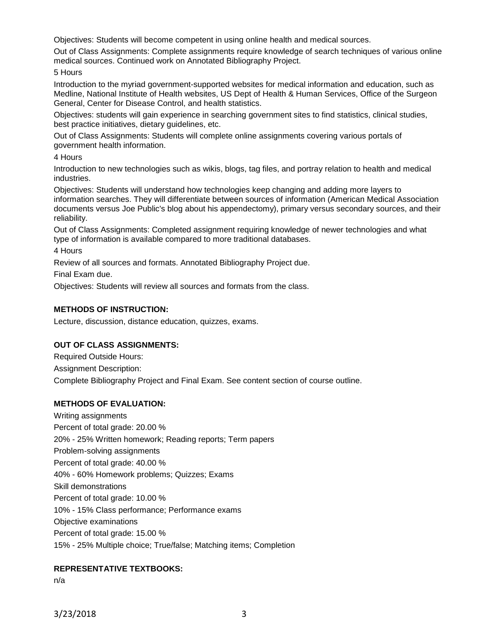Objectives: Students will become competent in using online health and medical sources.

Out of Class Assignments: Complete assignments require knowledge of search techniques of various online medical sources. Continued work on Annotated Bibliography Project.

5 Hours

Introduction to the myriad government-supported websites for medical information and education, such as Medline, National Institute of Health websites, US Dept of Health & Human Services, Office of the Surgeon General, Center for Disease Control, and health statistics.

Objectives: students will gain experience in searching government sites to find statistics, clinical studies, best practice initiatives, dietary guidelines, etc.

Out of Class Assignments: Students will complete online assignments covering various portals of government health information.

4 Hours

Introduction to new technologies such as wikis, blogs, tag files, and portray relation to health and medical industries.

Objectives: Students will understand how technologies keep changing and adding more layers to information searches. They will differentiate between sources of information (American Medical Association documents versus Joe Public's blog about his appendectomy), primary versus secondary sources, and their reliability.

Out of Class Assignments: Completed assignment requiring knowledge of newer technologies and what type of information is available compared to more traditional databases.

4 Hours

Review of all sources and formats. Annotated Bibliography Project due.

Final Exam due.

Objectives: Students will review all sources and formats from the class.

#### **METHODS OF INSTRUCTION:**

Lecture, discussion, distance education, quizzes, exams.

#### **OUT OF CLASS ASSIGNMENTS:**

Required Outside Hours: Assignment Description: Complete Bibliography Project and Final Exam. See content section of course outline.

#### **METHODS OF EVALUATION:**

Writing assignments Percent of total grade: 20.00 % 20% - 25% Written homework; Reading reports; Term papers Problem-solving assignments Percent of total grade: 40.00 % 40% - 60% Homework problems; Quizzes; Exams Skill demonstrations Percent of total grade: 10.00 % 10% - 15% Class performance; Performance exams Objective examinations Percent of total grade: 15.00 % 15% - 25% Multiple choice; True/false; Matching items; Completion

#### **REPRESENTATIVE TEXTBOOKS:**

n/a